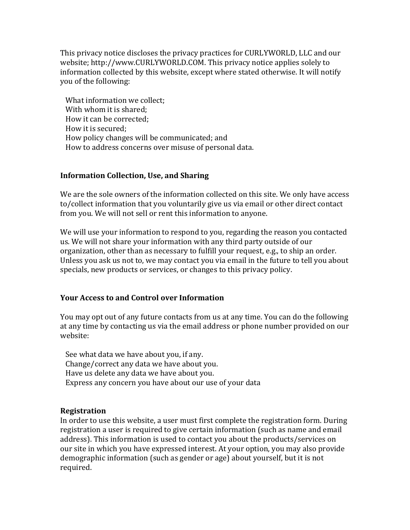This privacy notice discloses the privacy practices for CURLYWORLD, LLC and our website; http://www.CURLYWORLD.COM. This privacy notice applies solely to information collected by this website, except where stated otherwise. It will notify you of the following:

 What information we collect; With whom it is shared; How it can be corrected; How it is secured; How policy changes will be communicated; and How to address concerns over misuse of personal data.

#### **Information Collection, Use, and Sharing**

We are the sole owners of the information collected on this site. We only have access to/collect information that you voluntarily give us via email or other direct contact from you. We will not sell or rent this information to anyone.

We will use your information to respond to you, regarding the reason you contacted us. We will not share your information with any third party outside of our organization, other than as necessary to fulfill your request, e.g., to ship an order. Unless you ask us not to, we may contact you via email in the future to tell you about specials, new products or services, or changes to this privacy policy.

#### **Your Access to and Control over Information**

You may opt out of any future contacts from us at any time. You can do the following at any time by contacting us via the email address or phone number provided on our website:

 See what data we have about you, if any. Change/correct any data we have about you. Have us delete any data we have about you. Express any concern you have about our use of your data

#### **Registration**

In order to use this website, a user must first complete the registration form. During registration a user is required to give certain information (such as name and email address). This information is used to contact you about the products/services on our site in which you have expressed interest. At your option, you may also provide demographic information (such as gender or age) about yourself, but it is not required.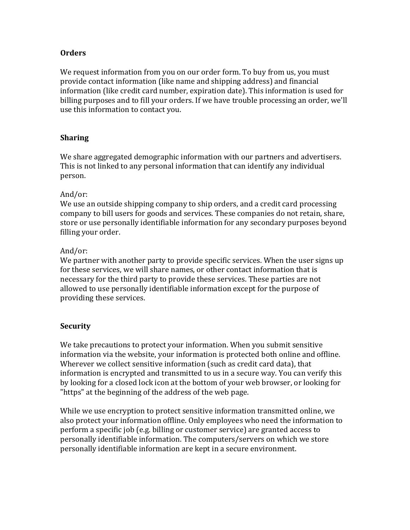## **Orders**

We request information from you on our order form. To buy from us, you must provide contact information (like name and shipping address) and financial information (like credit card number, expiration date). This information is used for billing purposes and to fill your orders. If we have trouble processing an order, we'll use this information to contact you.

## **Sharing**

We share aggregated demographic information with our partners and advertisers. This is not linked to any personal information that can identify any individual person.

#### And/or:

We use an outside shipping company to ship orders, and a credit card processing company to bill users for goods and services. These companies do not retain, share, store or use personally identifiable information for any secondary purposes beyond filling your order.

## And/or:

We partner with another party to provide specific services. When the user signs up for these services, we will share names, or other contact information that is necessary for the third party to provide these services. These parties are not allowed to use personally identifiable information except for the purpose of providing these services.

# **Security**

We take precautions to protect your information. When you submit sensitive information via the website, your information is protected both online and offline. Wherever we collect sensitive information (such as credit card data), that information is encrypted and transmitted to us in a secure way. You can verify this by looking for a closed lock icon at the bottom of your web browser, or looking for "https" at the beginning of the address of the web page.

While we use encryption to protect sensitive information transmitted online, we also protect your information offline. Only employees who need the information to perform a specific job (e.g. billing or customer service) are granted access to personally identifiable information. The computers/servers on which we store personally identifiable information are kept in a secure environment.